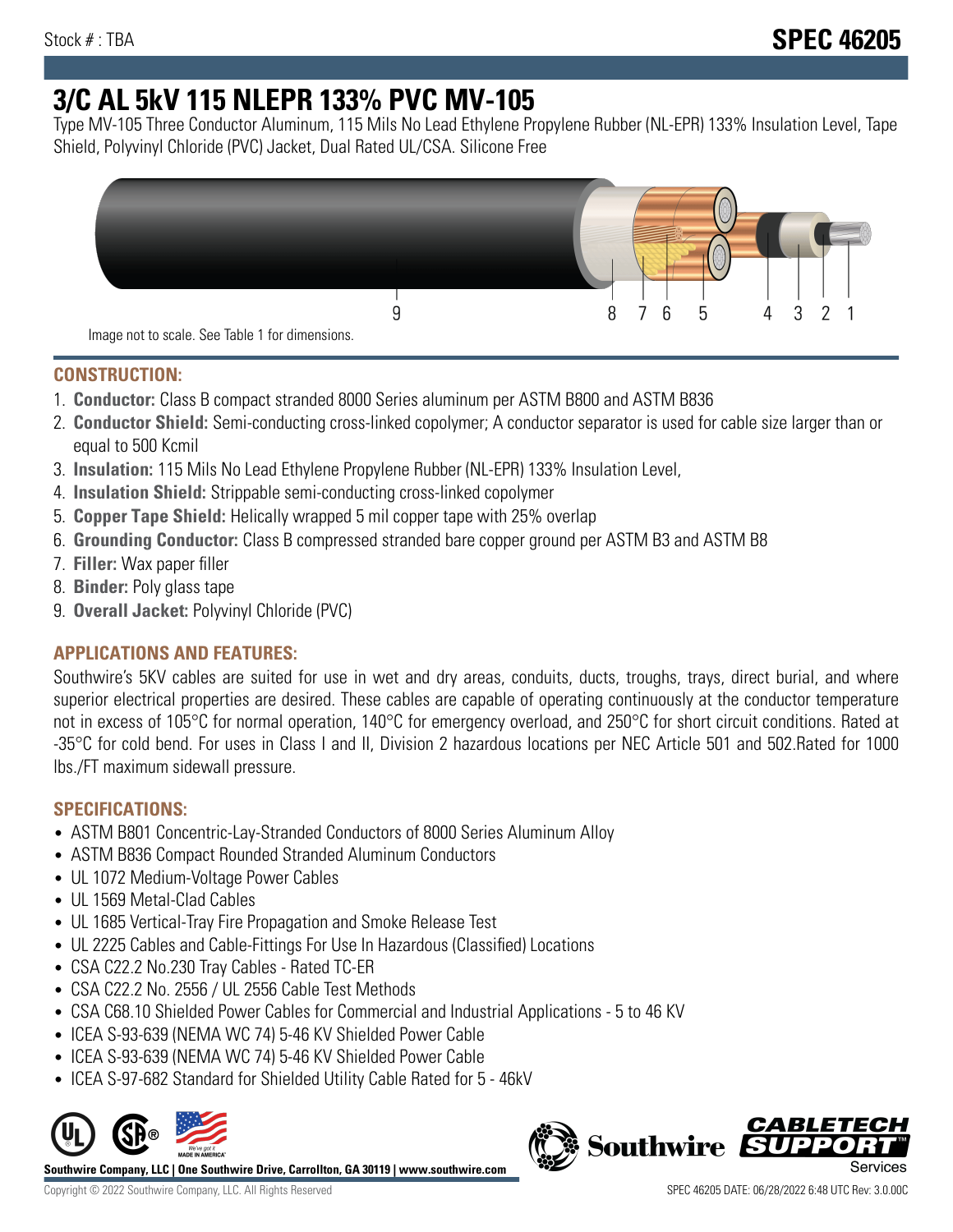# **3/C AL 5kV 115 NLEPR 133% PVC MV-105**

Type MV-105 Three Conductor Aluminum, 115 Mils No Lead Ethylene Propylene Rubber (NL-EPR) 133% Insulation Level, Tape Shield, Polyvinyl Chloride (PVC) Jacket, Dual Rated UL/CSA. Silicone Free



## **CONSTRUCTION:**

- 1. **Conductor:** Class B compact stranded 8000 Series aluminum per ASTM B800 and ASTM B836
- 2. **Conductor Shield:** Semi-conducting cross-linked copolymer; A conductor separator is used for cable size larger than or equal to 500 Kcmil
- 3. **Insulation:** 115 Mils No Lead Ethylene Propylene Rubber (NL-EPR) 133% Insulation Level,
- 4. **Insulation Shield:** Strippable semi-conducting cross-linked copolymer
- 5. **Copper Tape Shield:** Helically wrapped 5 mil copper tape with 25% overlap
- 6. **Grounding Conductor:** Class B compressed stranded bare copper ground per ASTM B3 and ASTM B8
- 7. **Filler:** Wax paper filler
- 8. **Binder:** Poly glass tape
- 9. **Overall Jacket:** Polyvinyl Chloride (PVC)

# **APPLICATIONS AND FEATURES:**

Southwire's 5KV cables are suited for use in wet and dry areas, conduits, ducts, troughs, trays, direct burial, and where superior electrical properties are desired. These cables are capable of operating continuously at the conductor temperature not in excess of 105°C for normal operation, 140°C for emergency overload, and 250°C for short circuit conditions. Rated at -35°C for cold bend. For uses in Class I and II, Division 2 hazardous locations per NEC Article 501 and 502.Rated for 1000 lbs./FT maximum sidewall pressure.

# **SPECIFICATIONS:**

- ASTM B801 Concentric-Lay-Stranded Conductors of 8000 Series Aluminum Alloy
- ASTM B836 Compact Rounded Stranded Aluminum Conductors
- UL 1072 Medium-Voltage Power Cables
- UL 1569 Metal-Clad Cables
- UL 1685 Vertical-Tray Fire Propagation and Smoke Release Test
- UL 2225 Cables and Cable-Fittings For Use In Hazardous (Classified) Locations
- CSA C22.2 No.230 Tray Cables Rated TC-ER
- CSA C22.2 No. 2556 / UL 2556 Cable Test Methods
- CSA C68.10 Shielded Power Cables for Commercial and Industrial Applications 5 to 46 KV
- ICEA S-93-639 (NEMA WC 74) 5-46 KV Shielded Power Cable
- ICEA S-93-639 (NEMA WC 74) 5-46 KV Shielded Power Cable
- ICEA S-97-682 Standard for Shielded Utility Cable Rated for 5 46kV



**Southwire Company, LLC | One Southwire Drive, Carrollton, GA 30119 | www.southwire.com**